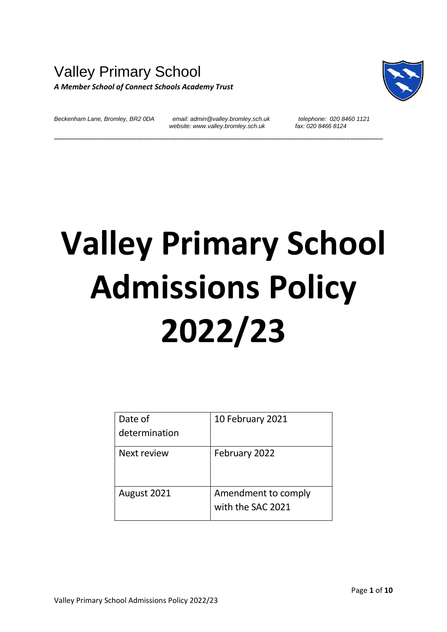# Valley Primary School *A Member School of Connect Schools Academy Trust*



*Beckenham Lane, Bromley, BR2 0DA email: admin@valley.bromley.sch.uk telephone: 020 8460 1121 website: www.valley.bromley.sch.uk* 

\_\_\_\_\_\_\_\_\_\_\_\_\_\_\_\_\_\_\_\_\_\_\_\_\_\_\_\_\_\_\_\_\_\_\_\_\_\_\_\_\_\_\_\_\_\_\_\_\_\_\_\_\_\_\_\_\_\_\_\_\_\_\_\_\_\_\_\_\_\_\_\_\_\_\_\_\_\_\_\_

# **Valley Primary School Admissions Policy 2022/23**

| Date of       | 10 February 2021                         |
|---------------|------------------------------------------|
| determination |                                          |
| Next review   | February 2022                            |
| August 2021   | Amendment to comply<br>with the SAC 2021 |
|               |                                          |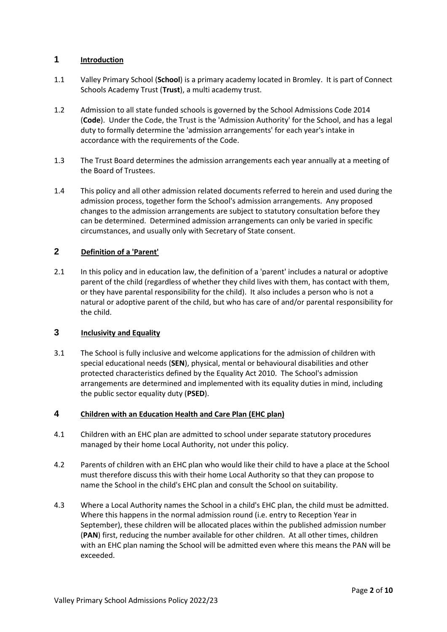# **1 Introduction**

- 1.1 Valley Primary School (**School**) is a primary academy located in Bromley. It is part of Connect Schools Academy Trust (**Trust**), a multi academy trust.
- 1.2 Admission to all state funded schools is governed by the School Admissions Code 2014 (**Code**). Under the Code, the Trust is the 'Admission Authority' for the School, and has a legal duty to formally determine the 'admission arrangements' for each year's intake in accordance with the requirements of the Code.
- 1.3 The Trust Board determines the admission arrangements each year annually at a meeting of the Board of Trustees.
- 1.4 This policy and all other admission related documents referred to herein and used during the admission process, together form the School's admission arrangements. Any proposed changes to the admission arrangements are subject to statutory consultation before they can be determined. Determined admission arrangements can only be varied in specific circumstances, and usually only with Secretary of State consent.

## **2 Definition of a 'Parent'**

2.1 In this policy and in education law, the definition of a 'parent' includes a natural or adoptive parent of the child (regardless of whether they child lives with them, has contact with them, or they have parental responsibility for the child). It also includes a person who is not a natural or adoptive parent of the child, but who has care of and/or parental responsibility for the child.

# **3 Inclusivity and Equality**

3.1 The School is fully inclusive and welcome applications for the admission of children with special educational needs (**SEN**), physical, mental or behavioural disabilities and other protected characteristics defined by the Equality Act 2010. The School's admission arrangements are determined and implemented with its equality duties in mind, including the public sector equality duty (**PSED**).

#### **4 Children with an Education Health and Care Plan (EHC plan)**

- 4.1 Children with an EHC plan are admitted to school under separate statutory procedures managed by their home Local Authority, not under this policy.
- 4.2 Parents of children with an EHC plan who would like their child to have a place at the School must therefore discuss this with their home Local Authority so that they can propose to name the School in the child's EHC plan and consult the School on suitability.
- 4.3 Where a Local Authority names the School in a child's EHC plan, the child must be admitted. Where this happens in the normal admission round (i.e. entry to Reception Year in September), these children will be allocated places within the published admission number (**PAN**) first, reducing the number available for other children. At all other times, children with an EHC plan naming the School will be admitted even where this means the PAN will be exceeded.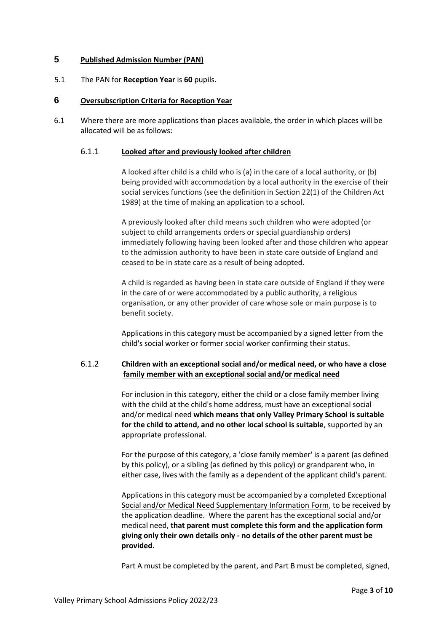### **5 Published Admission Number (PAN)**

5.1 The PAN for **Reception Year** is **60** pupils.

#### **6 Oversubscription Criteria for Reception Year**

6.1 Where there are more applications than places available, the order in which places will be allocated will be as follows:

#### 6.1.1 **Looked after and previously looked after children**

A looked after child is a child who is (a) in the care of a local authority, or (b) being provided with accommodation by a local authority in the exercise of their social services functions (see the definition in Section 22(1) of the Children Act 1989) at the time of making an application to a school.

A previously looked after child means such children who were adopted (or subject to child arrangements orders or special guardianship orders) immediately following having been looked after and those children who appear to the admission authority to have been in state care outside of England and ceased to be in state care as a result of being adopted.

A child is regarded as having been in state care outside of England if they were in the care of or were accommodated by a public authority, a religious organisation, or any other provider of care whose sole or main purpose is to benefit society.

Applications in this category must be accompanied by a signed letter from the child's social worker or former social worker confirming their status.

### 6.1.2 **Children with an exceptional social and/or medical need, or who have a close family member with an exceptional social and/or medical need**

For inclusion in this category, either the child or a close family member living with the child at the child's home address, must have an exceptional social and/or medical need **which means that only Valley Primary School is suitable for the child to attend, and no other local school is suitable**, supported by an appropriate professional.

For the purpose of this category, a 'close family member' is a parent (as defined by this policy), or a sibling (as defined by this policy) or grandparent who, in either case, lives with the family as a dependent of the applicant child's parent.

Applications in this category must be accompanied by a completed Exceptional Social and/or Medical Need Supplementary Information Form, to be received by the application deadline. Where the parent has the exceptional social and/or medical need, **that parent must complete this form and the application form giving only their own details only - no details of the other parent must be provided**.

Part A must be completed by the parent, and Part B must be completed, signed,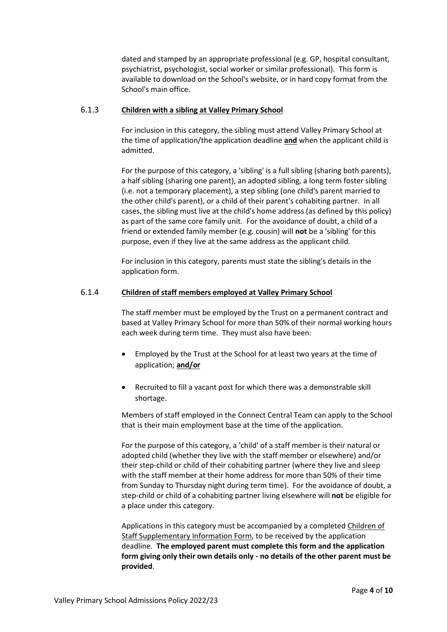dated and stamped by an appropriate professional (e.g. GP, hospital consultant, psychiatrist, psychologist, social worker or similar professional). This form is available to download on the School's website, or in hard copy format from the School's main office.

#### 6.1.3 **Children with a sibling at Valley Primary School**

For inclusion in this category, the sibling must attend Valley Primary School at the time of application/the application deadline **and** when the applicant child is admitted.

For the purpose of this category, a 'sibling' is a full sibling (sharing both parents), a half sibling (sharing one parent), an adopted sibling, a long term foster sibling (i.e. not a temporary placement), a step sibling (one child's parent married to the other child's parent), or a child of their parent's cohabiting partner. In all cases, the sibling must live at the child's home address (as defined by this policy) as part of the same core family unit. For the avoidance of doubt, a child of a friend or extended family member (e.g. cousin) will **not** be a 'sibling' for this purpose, even if they live at the same address as the applicant child.

For inclusion in this category, parents must state the sibling's details in the application form.

#### 6.1.4 **Children of staff members employed at Valley Primary School**

The staff member must be employed by the Trust on a permanent contract and based at Valley Primary School for more than 50% of their normal working hours each week during term time. They must also have been:

- Employed by the Trust at the School for at least two years at the time of application; **and/or**
- Recruited to fill a vacant post for which there was a demonstrable skill shortage.

Members of staff employed in the Connect Central Team can apply to the School that is their main employment base at the time of the application.

For the purpose of this category, a 'child' of a staff member is their natural or adopted child (whether they live with the staff member or elsewhere) and/or their step-child or child of their cohabiting partner (where they live and sleep with the staff member at their home address for more than 50% of their time from Sunday to Thursday night during term time). For the avoidance of doubt, a step-child or child of a cohabiting partner living elsewhere will **not** be eligible for a place under this category.

Applications in this category must be accompanied by a completed Children of Staff Supplementary Information Form, to be received by the application deadline. **The employed parent must complete this form and the application form giving only their own details only - no details of the other parent must be provided**.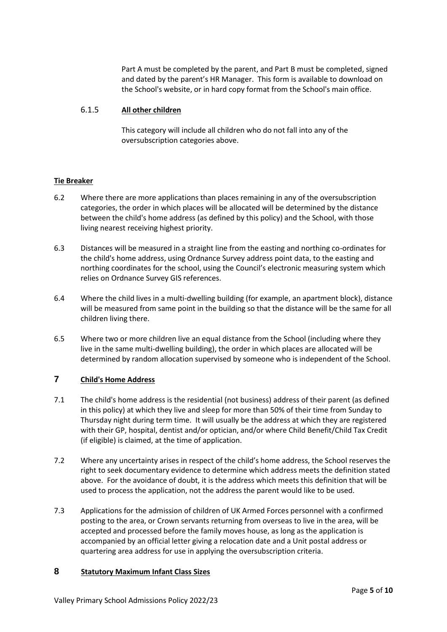Part A must be completed by the parent, and Part B must be completed, signed and dated by the parent's HR Manager. This form is available to download on the School's website, or in hard copy format from the School's main office.

### 6.1.5 **All other children**

This category will include all children who do not fall into any of the oversubscription categories above.

### **Tie Breaker**

- 6.2 Where there are more applications than places remaining in any of the oversubscription categories, the order in which places will be allocated will be determined by the distance between the child's home address (as defined by this policy) and the School, with those living nearest receiving highest priority.
- 6.3 Distances will be measured in a straight line from the easting and northing co-ordinates for the child's home address, using Ordnance Survey address point data, to the easting and northing coordinates for the school, using the Council's electronic measuring system which relies on Ordnance Survey GIS references.
- 6.4 Where the child lives in a multi-dwelling building (for example, an apartment block), distance will be measured from same point in the building so that the distance will be the same for all children living there.
- 6.5 Where two or more children live an equal distance from the School (including where they live in the same multi-dwelling building), the order in which places are allocated will be determined by random allocation supervised by someone who is independent of the School.

# **7 Child's Home Address**

- 7.1 The child's home address is the residential (not business) address of their parent (as defined in this policy) at which they live and sleep for more than 50% of their time from Sunday to Thursday night during term time. It will usually be the address at which they are registered with their GP, hospital, dentist and/or optician, and/or where Child Benefit/Child Tax Credit (if eligible) is claimed, at the time of application.
- 7.2 Where any uncertainty arises in respect of the child's home address, the School reserves the right to seek documentary evidence to determine which address meets the definition stated above. For the avoidance of doubt, it is the address which meets this definition that will be used to process the application, not the address the parent would like to be used.
- 7.3 Applications for the admission of children of UK Armed Forces personnel with a confirmed posting to the area, or Crown servants returning from overseas to live in the area, will be accepted and processed before the family moves house, as long as the application is accompanied by an official letter giving a relocation date and a Unit postal address or quartering area address for use in applying the oversubscription criteria.

#### **8 Statutory Maximum Infant Class Sizes**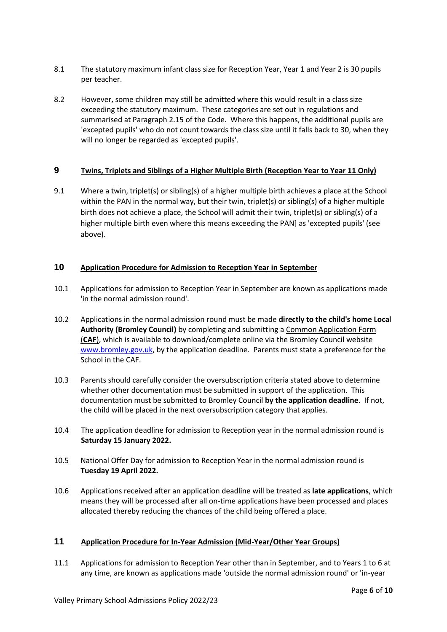- 8.1 The statutory maximum infant class size for Reception Year, Year 1 and Year 2 is 30 pupils per teacher.
- 8.2 However, some children may still be admitted where this would result in a class size exceeding the statutory maximum. These categories are set out in regulations and summarised at Paragraph 2.15 of the Code. Where this happens, the additional pupils are 'excepted pupils' who do not count towards the class size until it falls back to 30, when they will no longer be regarded as 'excepted pupils'.

# **9 Twins, Triplets and Siblings of a Higher Multiple Birth (Reception Year to Year 11 Only)**

9.1 Where a twin, triplet(s) or sibling(s) of a higher multiple birth achieves a place at the School within the PAN in the normal way, but their twin, triplet(s) or sibling(s) of a higher multiple birth does not achieve a place, the School will admit their twin, triplet(s) or sibling(s) of a higher multiple birth even where this means exceeding the PAN] as 'excepted pupils' (see above).

# **10 Application Procedure for Admission to Reception Year in September**

- 10.1 Applications for admission to Reception Year in September are known as applications made 'in the normal admission round'.
- 10.2 Applications in the normal admission round must be made **directly to the child's home Local Authority (Bromley Council)** by completing and submitting a Common Application Form (**CAF**), which is available to download/complete online via the Bromley Council website [www.bromley.gov.uk,](http://www.bromley.gov.uk/) by the application deadline. Parents must state a preference for the School in the CAF.
- 10.3 Parents should carefully consider the oversubscription criteria stated above to determine whether other documentation must be submitted in support of the application. This documentation must be submitted to Bromley Council **by the application deadline**. If not, the child will be placed in the next oversubscription category that applies.
- 10.4 The application deadline for admission to Reception year in the normal admission round is **Saturday 15 January 2022.**
- 10.5 National Offer Day for admission to Reception Year in the normal admission round is **Tuesday 19 April 2022.**
- 10.6 Applications received after an application deadline will be treated as **late applications**, which means they will be processed after all on-time applications have been processed and places allocated thereby reducing the chances of the child being offered a place.

# **11 Application Procedure for In-Year Admission (Mid-Year/Other Year Groups)**

11.1 Applications for admission to Reception Year other than in September, and to Years 1 to 6 at any time, are known as applications made 'outside the normal admission round' or 'in-year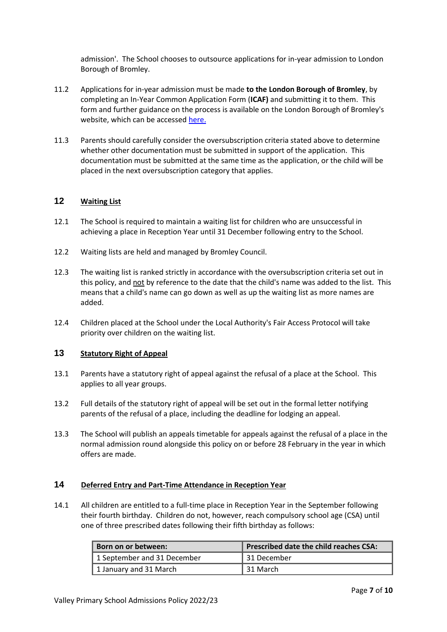admission'. The School chooses to outsource applications for in-year admission to London Borough of Bromley.

- 11.2 Applications for in-year admission must be made **to the London Borough of Bromley**, by completing an In-Year Common Application Form (**ICAF)** and submitting it to them. This form and further guidance on the process is available on the London Borough of Bromley's website, which can be accessed [here.](https://www.bromley.gov.uk/site/)
- 11.3 Parents should carefully consider the oversubscription criteria stated above to determine whether other documentation must be submitted in support of the application. This documentation must be submitted at the same time as the application, or the child will be placed in the next oversubscription category that applies.

# **12 Waiting List**

- 12.1 The School is required to maintain a waiting list for children who are unsuccessful in achieving a place in Reception Year until 31 December following entry to the School.
- 12.2 Waiting lists are held and managed by Bromley Council.
- 12.3 The waiting list is ranked strictly in accordance with the oversubscription criteria set out in this policy, and not by reference to the date that the child's name was added to the list. This means that a child's name can go down as well as up the waiting list as more names are added.
- 12.4 Children placed at the School under the Local Authority's Fair Access Protocol will take priority over children on the waiting list.

# **13 Statutory Right of Appeal**

- 13.1 Parents have a statutory right of appeal against the refusal of a place at the School. This applies to all year groups.
- 13.2 Full details of the statutory right of appeal will be set out in the formal letter notifying parents of the refusal of a place, including the deadline for lodging an appeal.
- 13.3 The School will publish an appeals timetable for appeals against the refusal of a place in the normal admission round alongside this policy on or before 28 February in the year in which offers are made.

#### **14 Deferred Entry and Part-Time Attendance in Reception Year**

14.1 All children are entitled to a full-time place in Reception Year in the September following their fourth birthday. Children do not, however, reach compulsory school age (CSA) until one of three prescribed dates following their fifth birthday as follows:

| Born on or between:         | Prescribed date the child reaches CSA: |
|-----------------------------|----------------------------------------|
| 1 September and 31 December | ∣31 December                           |
| 1 January and 31 March      | l 31 March                             |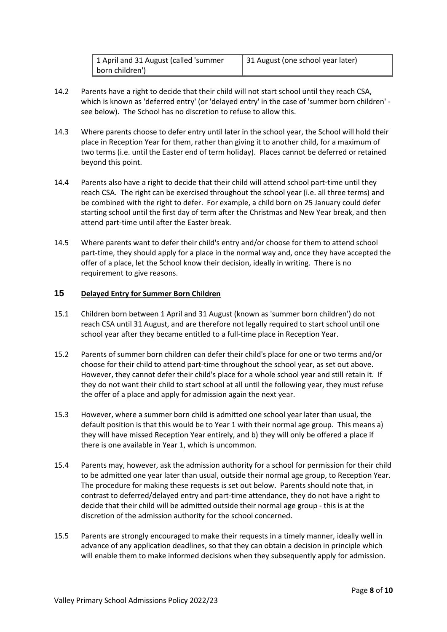| 1 April and 31 August (called 'summer | 31 August (one school year later) |
|---------------------------------------|-----------------------------------|
| born children')                       |                                   |

- 14.2 Parents have a right to decide that their child will not start school until they reach CSA, which is known as 'deferred entry' (or 'delayed entry' in the case of 'summer born children' see below). The School has no discretion to refuse to allow this.
- 14.3 Where parents choose to defer entry until later in the school year, the School will hold their place in Reception Year for them, rather than giving it to another child, for a maximum of two terms (i.e. until the Easter end of term holiday). Places cannot be deferred or retained beyond this point.
- 14.4 Parents also have a right to decide that their child will attend school part-time until they reach CSA. The right can be exercised throughout the school year (i.e. all three terms) and be combined with the right to defer. For example, a child born on 25 January could defer starting school until the first day of term after the Christmas and New Year break, and then attend part-time until after the Easter break.
- 14.5 Where parents want to defer their child's entry and/or choose for them to attend school part-time, they should apply for a place in the normal way and, once they have accepted the offer of a place, let the School know their decision, ideally in writing. There is no requirement to give reasons.

# **15 Delayed Entry for Summer Born Children**

- 15.1 Children born between 1 April and 31 August (known as 'summer born children') do not reach CSA until 31 August, and are therefore not legally required to start school until one school year after they became entitled to a full-time place in Reception Year.
- 15.2 Parents of summer born children can defer their child's place for one or two terms and/or choose for their child to attend part-time throughout the school year, as set out above. However, they cannot defer their child's place for a whole school year and still retain it. If they do not want their child to start school at all until the following year, they must refuse the offer of a place and apply for admission again the next year.
- 15.3 However, where a summer born child is admitted one school year later than usual, the default position is that this would be to Year 1 with their normal age group. This means a) they will have missed Reception Year entirely, and b) they will only be offered a place if there is one available in Year 1, which is uncommon.
- 15.4 Parents may, however, ask the admission authority for a school for permission for their child to be admitted one year later than usual, outside their normal age group, to Reception Year. The procedure for making these requests is set out below. Parents should note that, in contrast to deferred/delayed entry and part-time attendance, they do not have a right to decide that their child will be admitted outside their normal age group - this is at the discretion of the admission authority for the school concerned.
- 15.5 Parents are strongly encouraged to make their requests in a timely manner, ideally well in advance of any application deadlines, so that they can obtain a decision in principle which will enable them to make informed decisions when they subsequently apply for admission.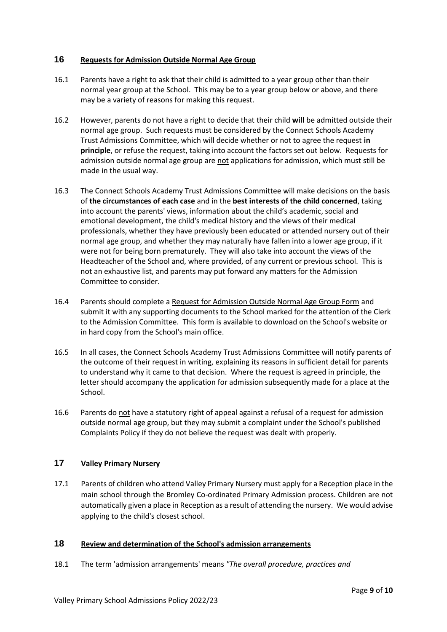#### **16 Requests for Admission Outside Normal Age Group**

- 16.1 Parents have a right to ask that their child is admitted to a year group other than their normal year group at the School. This may be to a year group below or above, and there may be a variety of reasons for making this request.
- 16.2 However, parents do not have a right to decide that their child **will** be admitted outside their normal age group. Such requests must be considered by the Connect Schools Academy Trust Admissions Committee, which will decide whether or not to agree the request **in principle**, or refuse the request, taking into account the factors set out below. Requests for admission outside normal age group are not applications for admission, which must still be made in the usual way.
- 16.3 The Connect Schools Academy Trust Admissions Committee will make decisions on the basis of **the circumstances of each case** and in the **best interests of the child concerned**, taking into account the parents' views, information about the child's academic, social and emotional development, the child's medical history and the views of their medical professionals, whether they have previously been educated or attended nursery out of their normal age group, and whether they may naturally have fallen into a lower age group, if it were not for being born prematurely. They will also take into account the views of the Headteacher of the School and, where provided, of any current or previous school. This is not an exhaustive list, and parents may put forward any matters for the Admission Committee to consider.
- 16.4 Parents should complete a Request for Admission Outside Normal Age Group Form and submit it with any supporting documents to the School marked for the attention of the Clerk to the Admission Committee. This form is available to download on the School's website or in hard copy from the School's main office.
- 16.5 In all cases, the Connect Schools Academy Trust Admissions Committee will notify parents of the outcome of their request in writing, explaining its reasons in sufficient detail for parents to understand why it came to that decision. Where the request is agreed in principle, the letter should accompany the application for admission subsequently made for a place at the School.
- 16.6 Parents do not have a statutory right of appeal against a refusal of a request for admission outside normal age group, but they may submit a complaint under the School's published Complaints Policy if they do not believe the request was dealt with properly.

# **17 Valley Primary Nursery**

17.1 Parents of children who attend Valley Primary Nursery must apply for a Reception place in the main school through the Bromley Co-ordinated Primary Admission process. Children are not automatically given a place in Reception as a result of attending the nursery. We would advise applying to the child's closest school.

# **18 Review and determination of the School's admission arrangements**

18.1 The term 'admission arrangements' means *"The overall procedure, practices and*